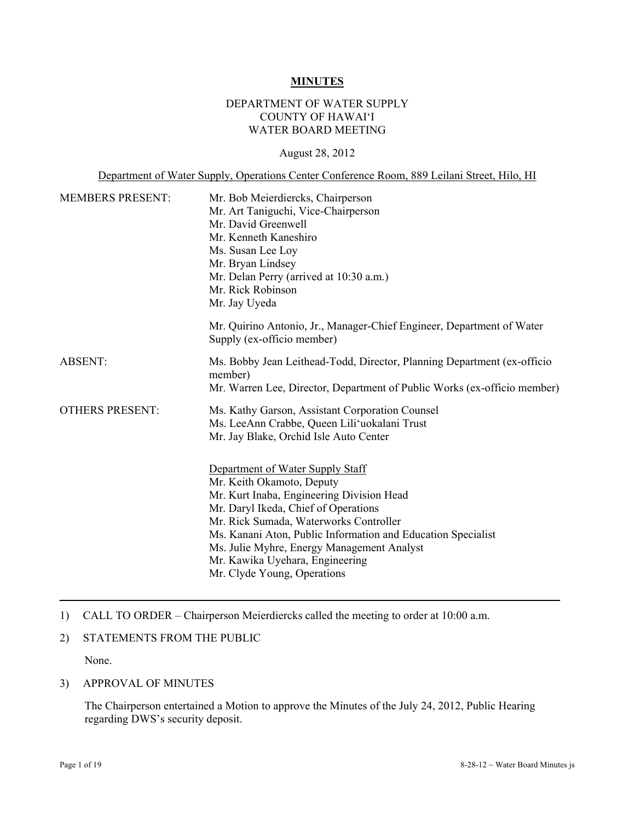## **MINUTES**

### DEPARTMENT OF WATER SUPPLY COUNTY OF HAWAI'I WATER BOARD MEETING

#### August 28, 2012

Department of Water Supply, Operations Center Conference Room, 889 Leilani Street, Hilo, HI

| <b>MEMBERS PRESENT:</b> | Mr. Bob Meierdiercks, Chairperson<br>Mr. Art Taniguchi, Vice-Chairperson<br>Mr. David Greenwell<br>Mr. Kenneth Kaneshiro<br>Ms. Susan Lee Loy<br>Mr. Bryan Lindsey<br>Mr. Delan Perry (arrived at 10:30 a.m.)<br>Mr. Rick Robinson<br>Mr. Jay Uyeda                                                                                                                          |  |  |
|-------------------------|------------------------------------------------------------------------------------------------------------------------------------------------------------------------------------------------------------------------------------------------------------------------------------------------------------------------------------------------------------------------------|--|--|
|                         | Mr. Quirino Antonio, Jr., Manager-Chief Engineer, Department of Water<br>Supply (ex-officio member)                                                                                                                                                                                                                                                                          |  |  |
| <b>ABSENT:</b>          | Ms. Bobby Jean Leithead-Todd, Director, Planning Department (ex-officio<br>member)<br>Mr. Warren Lee, Director, Department of Public Works (ex-officio member)                                                                                                                                                                                                               |  |  |
| <b>OTHERS PRESENT:</b>  | Ms. Kathy Garson, Assistant Corporation Counsel<br>Ms. LeeAnn Crabbe, Queen Lili'uokalani Trust<br>Mr. Jay Blake, Orchid Isle Auto Center                                                                                                                                                                                                                                    |  |  |
|                         | Department of Water Supply Staff<br>Mr. Keith Okamoto, Deputy<br>Mr. Kurt Inaba, Engineering Division Head<br>Mr. Daryl Ikeda, Chief of Operations<br>Mr. Rick Sumada, Waterworks Controller<br>Ms. Kanani Aton, Public Information and Education Specialist<br>Ms. Julie Myhre, Energy Management Analyst<br>Mr. Kawika Uyehara, Engineering<br>Mr. Clyde Young, Operations |  |  |

1) CALL TO ORDER – Chairperson Meierdiercks called the meeting to order at 10:00 a.m.

#### 2) STATEMENTS FROM THE PUBLIC

None.

#### 3) APPROVAL OF MINUTES

The Chairperson entertained a Motion to approve the Minutes of the July 24, 2012, Public Hearing regarding DWS's security deposit.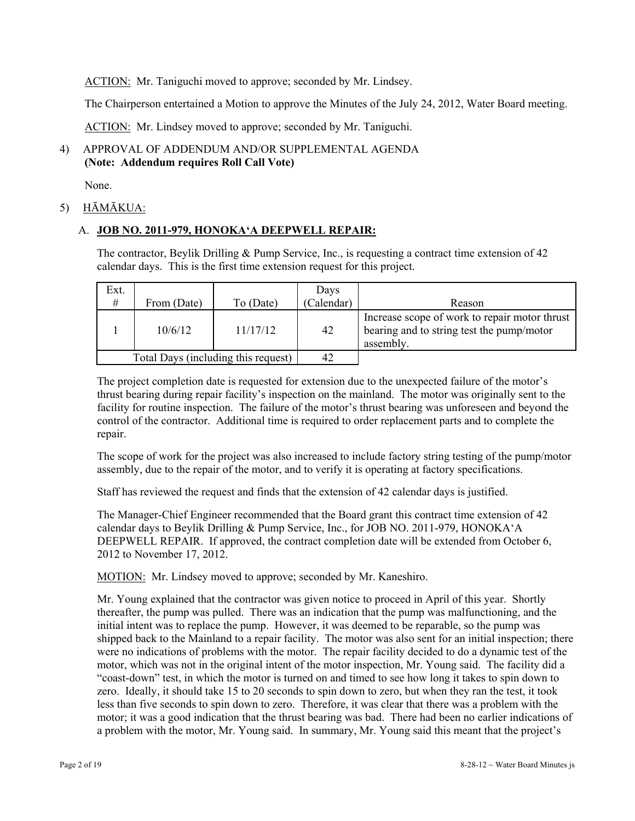ACTION: Mr. Taniguchi moved to approve; seconded by Mr. Lindsey.

The Chairperson entertained a Motion to approve the Minutes of the July 24, 2012, Water Board meeting.

ACTION: Mr. Lindsey moved to approve; seconded by Mr. Taniguchi.

# 4) APPROVAL OF ADDENDUM AND/OR SUPPLEMENTAL AGENDA **(Note: Addendum requires Roll Call Vote)**

None.

# 5) HĀMĀKUA:

# A. **JOB NO. 2011-979, HONOKA'A DEEPWELL REPAIR:**

The contractor, Beylik Drilling & Pump Service, Inc., is requesting a contract time extension of 42 calendar days. This is the first time extension request for this project.

| Ext.                                |             |           | Days       |                                                                                                         |
|-------------------------------------|-------------|-----------|------------|---------------------------------------------------------------------------------------------------------|
| #                                   | From (Date) | To (Date) | (Calendar) | Reason                                                                                                  |
|                                     | 10/6/12     | 11/17/12  | 42         | Increase scope of work to repair motor thrust<br>bearing and to string test the pump/motor<br>assembly. |
| Total Days (including this request) |             | 42        |            |                                                                                                         |

The project completion date is requested for extension due to the unexpected failure of the motor's thrust bearing during repair facility's inspection on the mainland. The motor was originally sent to the facility for routine inspection. The failure of the motor's thrust bearing was unforeseen and beyond the control of the contractor. Additional time is required to order replacement parts and to complete the repair.

The scope of work for the project was also increased to include factory string testing of the pump/motor assembly, due to the repair of the motor, and to verify it is operating at factory specifications.

Staff has reviewed the request and finds that the extension of 42 calendar days is justified.

The Manager-Chief Engineer recommended that the Board grant this contract time extension of 42 calendar days to Beylik Drilling & Pump Service, Inc., for JOB NO. 2011-979, HONOKA'A DEEPWELL REPAIR. If approved, the contract completion date will be extended from October 6, 2012 to November 17, 2012.

MOTION: Mr. Lindsey moved to approve; seconded by Mr. Kaneshiro.

Mr. Young explained that the contractor was given notice to proceed in April of this year. Shortly thereafter, the pump was pulled. There was an indication that the pump was malfunctioning, and the initial intent was to replace the pump. However, it was deemed to be reparable, so the pump was shipped back to the Mainland to a repair facility. The motor was also sent for an initial inspection; there were no indications of problems with the motor. The repair facility decided to do a dynamic test of the motor, which was not in the original intent of the motor inspection, Mr. Young said. The facility did a "coast-down" test, in which the motor is turned on and timed to see how long it takes to spin down to zero. Ideally, it should take 15 to 20 seconds to spin down to zero, but when they ran the test, it took less than five seconds to spin down to zero. Therefore, it was clear that there was a problem with the motor; it was a good indication that the thrust bearing was bad. There had been no earlier indications of a problem with the motor, Mr. Young said. In summary, Mr. Young said this meant that the project's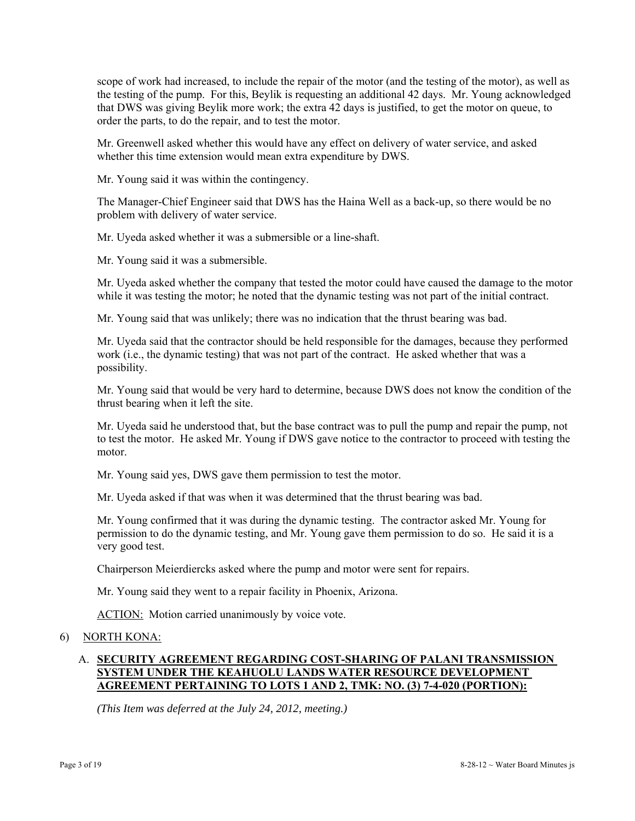scope of work had increased, to include the repair of the motor (and the testing of the motor), as well as the testing of the pump. For this, Beylik is requesting an additional 42 days. Mr. Young acknowledged that DWS was giving Beylik more work; the extra 42 days is justified, to get the motor on queue, to order the parts, to do the repair, and to test the motor.

Mr. Greenwell asked whether this would have any effect on delivery of water service, and asked whether this time extension would mean extra expenditure by DWS.

Mr. Young said it was within the contingency.

The Manager-Chief Engineer said that DWS has the Haina Well as a back-up, so there would be no problem with delivery of water service.

Mr. Uyeda asked whether it was a submersible or a line-shaft.

Mr. Young said it was a submersible.

Mr. Uyeda asked whether the company that tested the motor could have caused the damage to the motor while it was testing the motor; he noted that the dynamic testing was not part of the initial contract.

Mr. Young said that was unlikely; there was no indication that the thrust bearing was bad.

Mr. Uyeda said that the contractor should be held responsible for the damages, because they performed work (i.e., the dynamic testing) that was not part of the contract. He asked whether that was a possibility.

Mr. Young said that would be very hard to determine, because DWS does not know the condition of the thrust bearing when it left the site.

Mr. Uyeda said he understood that, but the base contract was to pull the pump and repair the pump, not to test the motor. He asked Mr. Young if DWS gave notice to the contractor to proceed with testing the motor.

Mr. Young said yes, DWS gave them permission to test the motor.

Mr. Uyeda asked if that was when it was determined that the thrust bearing was bad.

Mr. Young confirmed that it was during the dynamic testing. The contractor asked Mr. Young for permission to do the dynamic testing, and Mr. Young gave them permission to do so. He said it is a very good test.

Chairperson Meierdiercks asked where the pump and motor were sent for repairs.

Mr. Young said they went to a repair facility in Phoenix, Arizona.

ACTION: Motion carried unanimously by voice vote.

#### 6) NORTH KONA:

# A. **SECURITY AGREEMENT REGARDING COST-SHARING OF PALANI TRANSMISSION SYSTEM UNDER THE KEAHUOLU LANDS WATER RESOURCE DEVELOPMENT AGREEMENT PERTAINING TO LOTS 1 AND 2, TMK: NO. (3) 7-4-020 (PORTION):**

*(This Item was deferred at the July 24, 2012, meeting.)*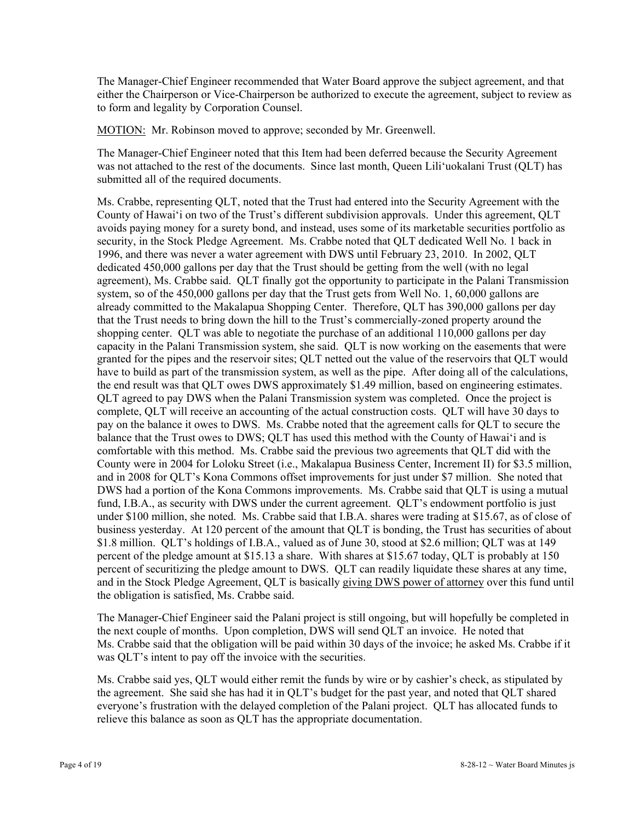The Manager-Chief Engineer recommended that Water Board approve the subject agreement, and that either the Chairperson or Vice-Chairperson be authorized to execute the agreement, subject to review as to form and legality by Corporation Counsel.

MOTION: Mr. Robinson moved to approve; seconded by Mr. Greenwell.

The Manager-Chief Engineer noted that this Item had been deferred because the Security Agreement was not attached to the rest of the documents. Since last month, Queen Lili'uokalani Trust (QLT) has submitted all of the required documents.

Ms. Crabbe, representing QLT, noted that the Trust had entered into the Security Agreement with the County of Hawai'i on two of the Trust's different subdivision approvals. Under this agreement, QLT avoids paying money for a surety bond, and instead, uses some of its marketable securities portfolio as security, in the Stock Pledge Agreement. Ms. Crabbe noted that QLT dedicated Well No. 1 back in 1996, and there was never a water agreement with DWS until February 23, 2010. In 2002, QLT dedicated 450,000 gallons per day that the Trust should be getting from the well (with no legal agreement), Ms. Crabbe said. QLT finally got the opportunity to participate in the Palani Transmission system, so of the 450,000 gallons per day that the Trust gets from Well No. 1, 60,000 gallons are already committed to the Makalapua Shopping Center. Therefore, QLT has 390,000 gallons per day that the Trust needs to bring down the hill to the Trust's commercially-zoned property around the shopping center. QLT was able to negotiate the purchase of an additional 110,000 gallons per day capacity in the Palani Transmission system, she said. QLT is now working on the easements that were granted for the pipes and the reservoir sites; QLT netted out the value of the reservoirs that QLT would have to build as part of the transmission system, as well as the pipe. After doing all of the calculations, the end result was that QLT owes DWS approximately \$1.49 million, based on engineering estimates. QLT agreed to pay DWS when the Palani Transmission system was completed. Once the project is complete, QLT will receive an accounting of the actual construction costs. QLT will have 30 days to pay on the balance it owes to DWS. Ms. Crabbe noted that the agreement calls for QLT to secure the balance that the Trust owes to DWS; QLT has used this method with the County of Hawai'i and is comfortable with this method. Ms. Crabbe said the previous two agreements that QLT did with the County were in 2004 for Loloku Street (i.e., Makalapua Business Center, Increment II) for \$3.5 million, and in 2008 for QLT's Kona Commons offset improvements for just under \$7 million. She noted that DWS had a portion of the Kona Commons improvements. Ms. Crabbe said that QLT is using a mutual fund, I.B.A., as security with DWS under the current agreement. QLT's endowment portfolio is just under \$100 million, she noted. Ms. Crabbe said that I.B.A. shares were trading at \$15.67, as of close of business yesterday. At 120 percent of the amount that QLT is bonding, the Trust has securities of about \$1.8 million. QLT's holdings of I.B.A., valued as of June 30, stood at \$2.6 million; QLT was at 149 percent of the pledge amount at \$15.13 a share. With shares at \$15.67 today, QLT is probably at 150 percent of securitizing the pledge amount to DWS. QLT can readily liquidate these shares at any time, and in the Stock Pledge Agreement, QLT is basically giving DWS power of attorney over this fund until the obligation is satisfied, Ms. Crabbe said.

The Manager-Chief Engineer said the Palani project is still ongoing, but will hopefully be completed in the next couple of months. Upon completion, DWS will send QLT an invoice. He noted that Ms. Crabbe said that the obligation will be paid within 30 days of the invoice; he asked Ms. Crabbe if it was QLT's intent to pay off the invoice with the securities.

Ms. Crabbe said yes, QLT would either remit the funds by wire or by cashier's check, as stipulated by the agreement. She said she has had it in QLT's budget for the past year, and noted that QLT shared everyone's frustration with the delayed completion of the Palani project. QLT has allocated funds to relieve this balance as soon as QLT has the appropriate documentation.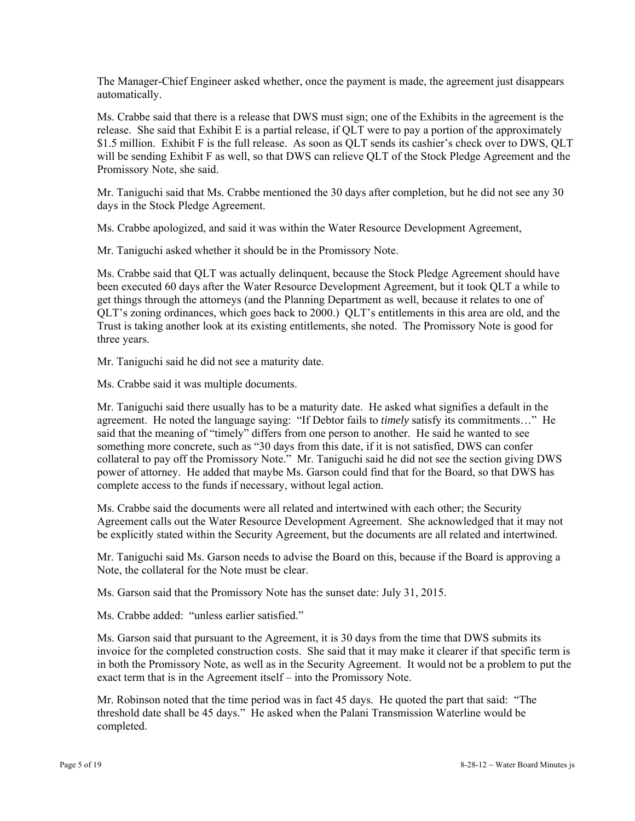The Manager-Chief Engineer asked whether, once the payment is made, the agreement just disappears automatically.

Ms. Crabbe said that there is a release that DWS must sign; one of the Exhibits in the agreement is the release. She said that Exhibit E is a partial release, if QLT were to pay a portion of the approximately \$1.5 million. Exhibit F is the full release. As soon as QLT sends its cashier's check over to DWS, QLT will be sending Exhibit F as well, so that DWS can relieve QLT of the Stock Pledge Agreement and the Promissory Note, she said.

Mr. Taniguchi said that Ms. Crabbe mentioned the 30 days after completion, but he did not see any 30 days in the Stock Pledge Agreement.

Ms. Crabbe apologized, and said it was within the Water Resource Development Agreement,

Mr. Taniguchi asked whether it should be in the Promissory Note.

Ms. Crabbe said that QLT was actually delinquent, because the Stock Pledge Agreement should have been executed 60 days after the Water Resource Development Agreement, but it took QLT a while to get things through the attorneys (and the Planning Department as well, because it relates to one of QLT's zoning ordinances, which goes back to 2000.) QLT's entitlements in this area are old, and the Trust is taking another look at its existing entitlements, she noted. The Promissory Note is good for three years.

Mr. Taniguchi said he did not see a maturity date.

Ms. Crabbe said it was multiple documents.

Mr. Taniguchi said there usually has to be a maturity date. He asked what signifies a default in the agreement. He noted the language saying: "If Debtor fails to *timely* satisfy its commitments…" He said that the meaning of "timely" differs from one person to another. He said he wanted to see something more concrete, such as "30 days from this date, if it is not satisfied, DWS can confer collateral to pay off the Promissory Note." Mr. Taniguchi said he did not see the section giving DWS power of attorney. He added that maybe Ms. Garson could find that for the Board, so that DWS has complete access to the funds if necessary, without legal action.

Ms. Crabbe said the documents were all related and intertwined with each other; the Security Agreement calls out the Water Resource Development Agreement. She acknowledged that it may not be explicitly stated within the Security Agreement, but the documents are all related and intertwined.

Mr. Taniguchi said Ms. Garson needs to advise the Board on this, because if the Board is approving a Note, the collateral for the Note must be clear.

Ms. Garson said that the Promissory Note has the sunset date: July 31, 2015.

Ms. Crabbe added: "unless earlier satisfied"

Ms. Garson said that pursuant to the Agreement, it is 30 days from the time that DWS submits its invoice for the completed construction costs. She said that it may make it clearer if that specific term is in both the Promissory Note, as well as in the Security Agreement. It would not be a problem to put the exact term that is in the Agreement itself – into the Promissory Note.

Mr. Robinson noted that the time period was in fact 45 days. He quoted the part that said: "The threshold date shall be 45 days." He asked when the Palani Transmission Waterline would be completed.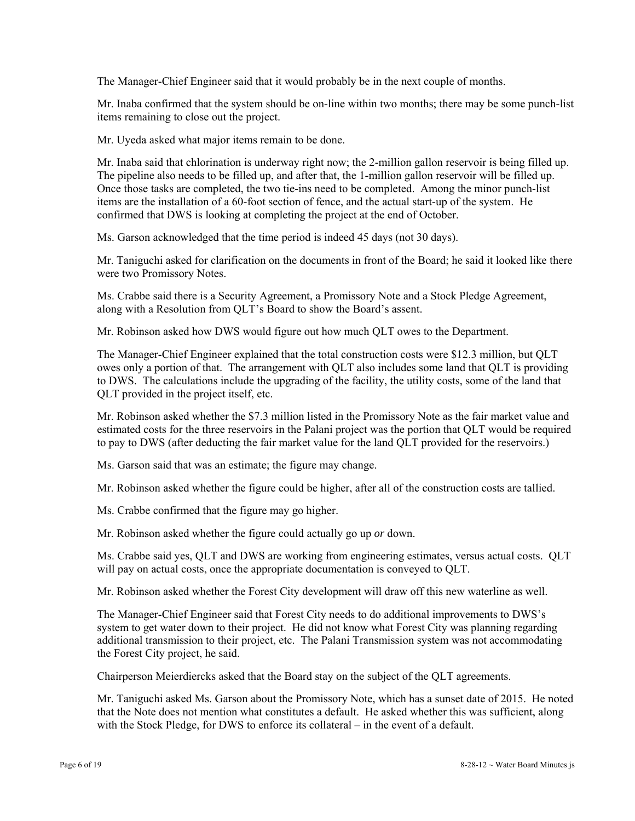The Manager-Chief Engineer said that it would probably be in the next couple of months.

Mr. Inaba confirmed that the system should be on-line within two months; there may be some punch-list items remaining to close out the project.

Mr. Uyeda asked what major items remain to be done.

Mr. Inaba said that chlorination is underway right now; the 2-million gallon reservoir is being filled up. The pipeline also needs to be filled up, and after that, the 1-million gallon reservoir will be filled up. Once those tasks are completed, the two tie-ins need to be completed. Among the minor punch-list items are the installation of a 60-foot section of fence, and the actual start-up of the system. He confirmed that DWS is looking at completing the project at the end of October.

Ms. Garson acknowledged that the time period is indeed 45 days (not 30 days).

Mr. Taniguchi asked for clarification on the documents in front of the Board; he said it looked like there were two Promissory Notes.

Ms. Crabbe said there is a Security Agreement, a Promissory Note and a Stock Pledge Agreement, along with a Resolution from QLT's Board to show the Board's assent.

Mr. Robinson asked how DWS would figure out how much QLT owes to the Department.

The Manager-Chief Engineer explained that the total construction costs were \$12.3 million, but QLT owes only a portion of that. The arrangement with QLT also includes some land that QLT is providing to DWS. The calculations include the upgrading of the facility, the utility costs, some of the land that QLT provided in the project itself, etc.

Mr. Robinson asked whether the \$7.3 million listed in the Promissory Note as the fair market value and estimated costs for the three reservoirs in the Palani project was the portion that QLT would be required to pay to DWS (after deducting the fair market value for the land QLT provided for the reservoirs.)

Ms. Garson said that was an estimate; the figure may change.

Mr. Robinson asked whether the figure could be higher, after all of the construction costs are tallied.

Ms. Crabbe confirmed that the figure may go higher.

Mr. Robinson asked whether the figure could actually go up *or* down.

Ms. Crabbe said yes, QLT and DWS are working from engineering estimates, versus actual costs. QLT will pay on actual costs, once the appropriate documentation is conveyed to QLT.

Mr. Robinson asked whether the Forest City development will draw off this new waterline as well.

The Manager-Chief Engineer said that Forest City needs to do additional improvements to DWS's system to get water down to their project. He did not know what Forest City was planning regarding additional transmission to their project, etc. The Palani Transmission system was not accommodating the Forest City project, he said.

Chairperson Meierdiercks asked that the Board stay on the subject of the QLT agreements.

Mr. Taniguchi asked Ms. Garson about the Promissory Note, which has a sunset date of 2015. He noted that the Note does not mention what constitutes a default. He asked whether this was sufficient, along with the Stock Pledge, for DWS to enforce its collateral – in the event of a default.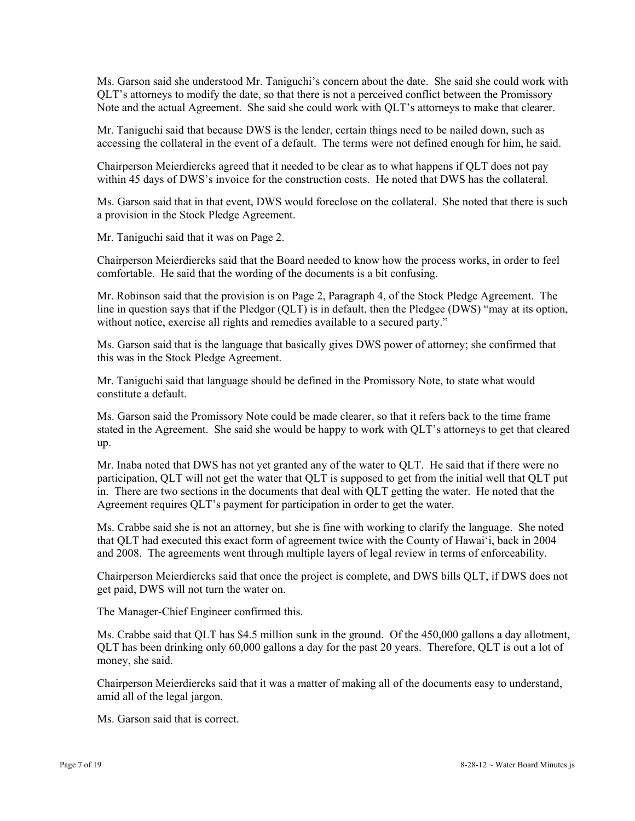Ms. Garson said she understood Mr. Taniguchi's concern about the date. She said she could work with QLT's attorneys to modify the date, so that there is not a perceived conflict between the Promissory Note and the actual Agreement. She said she could work with QLT's attorneys to make that clearer.

Mr. Taniguchi said that because DWS is the lender, certain things need to be nailed down, such as accessing the collateral in the event of a default. The terms were not defined enough for him, he said.

Chairperson Meierdiercks agreed that it needed to be clear as to what happens if QLT does not pay within 45 days of DWS's invoice for the construction costs. He noted that DWS has the collateral.

Ms. Garson said that in that event, DWS would foreclose on the collateral. She noted that there is such a provision in the Stock Pledge Agreement.

Mr. Taniguchi said that it was on Page 2.

Chairperson Meierdiercks said that the Board needed to know how the process works, in order to feel comfortable. He said that the wording of the documents is a bit confusing.

Mr. Robinson said that the provision is on Page 2, Paragraph 4, of the Stock Pledge Agreement. The line in question says that if the Pledgor (QLT) is in default, then the Pledgee (DWS) "may at its option, without notice, exercise all rights and remedies available to a secured party."

Ms. Garson said that is the language that basically gives DWS power of attorney; she confirmed that this was in the Stock Pledge Agreement.

Mr. Taniguchi said that language should be defined in the Promissory Note, to state what would constitute a default.

Ms. Garson said the Promissory Note could be made clearer, so that it refers back to the time frame stated in the Agreement. She said she would be happy to work with QLT's attorneys to get that cleared up.

Mr. Inaba noted that DWS has not yet granted any of the water to QLT. He said that if there were no participation, QLT will not get the water that QLT is supposed to get from the initial well that QLT put in. There are two sections in the documents that deal with QLT getting the water. He noted that the Agreement requires QLT's payment for participation in order to get the water.

Ms. Crabbe said she is not an attorney, but she is fine with working to clarify the language. She noted that QLT had executed this exact form of agreement twice with the County of Hawai'i, back in 2004 and 2008. The agreements went through multiple layers of legal review in terms of enforceability.

Chairperson Meierdiercks said that once the project is complete, and DWS bills QLT, if DWS does not get paid, DWS will not turn the water on.

The Manager-Chief Engineer confirmed this.

Ms. Crabbe said that QLT has \$4.5 million sunk in the ground. Of the 450,000 gallons a day allotment, QLT has been drinking only 60,000 gallons a day for the past 20 years. Therefore, QLT is out a lot of money, she said.

Chairperson Meierdiercks said that it was a matter of making all of the documents easy to understand, amid all of the legal jargon.

Ms. Garson said that is correct.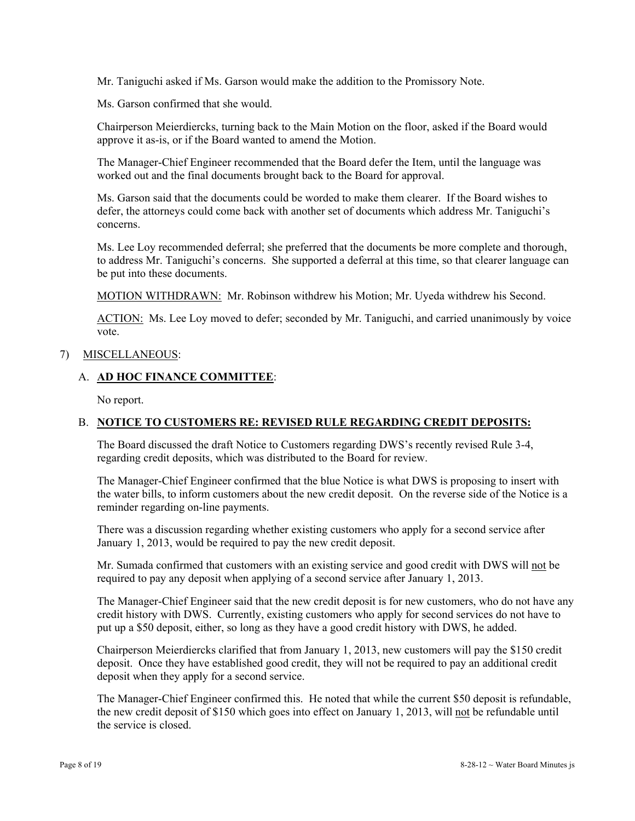Mr. Taniguchi asked if Ms. Garson would make the addition to the Promissory Note.

Ms. Garson confirmed that she would.

Chairperson Meierdiercks, turning back to the Main Motion on the floor, asked if the Board would approve it as-is, or if the Board wanted to amend the Motion.

The Manager-Chief Engineer recommended that the Board defer the Item, until the language was worked out and the final documents brought back to the Board for approval.

Ms. Garson said that the documents could be worded to make them clearer. If the Board wishes to defer, the attorneys could come back with another set of documents which address Mr. Taniguchi's concerns.

Ms. Lee Loy recommended deferral; she preferred that the documents be more complete and thorough, to address Mr. Taniguchi's concerns. She supported a deferral at this time, so that clearer language can be put into these documents.

MOTION WITHDRAWN: Mr. Robinson withdrew his Motion; Mr. Uyeda withdrew his Second.

ACTION: Ms. Lee Loy moved to defer; seconded by Mr. Taniguchi, and carried unanimously by voice vote.

### 7) MISCELLANEOUS:

### A. **AD HOC FINANCE COMMITTEE**:

No report.

# B. **NOTICE TO CUSTOMERS RE: REVISED RULE REGARDING CREDIT DEPOSITS:**

The Board discussed the draft Notice to Customers regarding DWS's recently revised Rule 3-4, regarding credit deposits, which was distributed to the Board for review.

The Manager-Chief Engineer confirmed that the blue Notice is what DWS is proposing to insert with the water bills, to inform customers about the new credit deposit. On the reverse side of the Notice is a reminder regarding on-line payments.

There was a discussion regarding whether existing customers who apply for a second service after January 1, 2013, would be required to pay the new credit deposit.

Mr. Sumada confirmed that customers with an existing service and good credit with DWS will not be required to pay any deposit when applying of a second service after January 1, 2013.

The Manager-Chief Engineer said that the new credit deposit is for new customers, who do not have any credit history with DWS. Currently, existing customers who apply for second services do not have to put up a \$50 deposit, either, so long as they have a good credit history with DWS, he added.

Chairperson Meierdiercks clarified that from January 1, 2013, new customers will pay the \$150 credit deposit. Once they have established good credit, they will not be required to pay an additional credit deposit when they apply for a second service.

The Manager-Chief Engineer confirmed this. He noted that while the current \$50 deposit is refundable, the new credit deposit of \$150 which goes into effect on January 1, 2013, will not be refundable until the service is closed.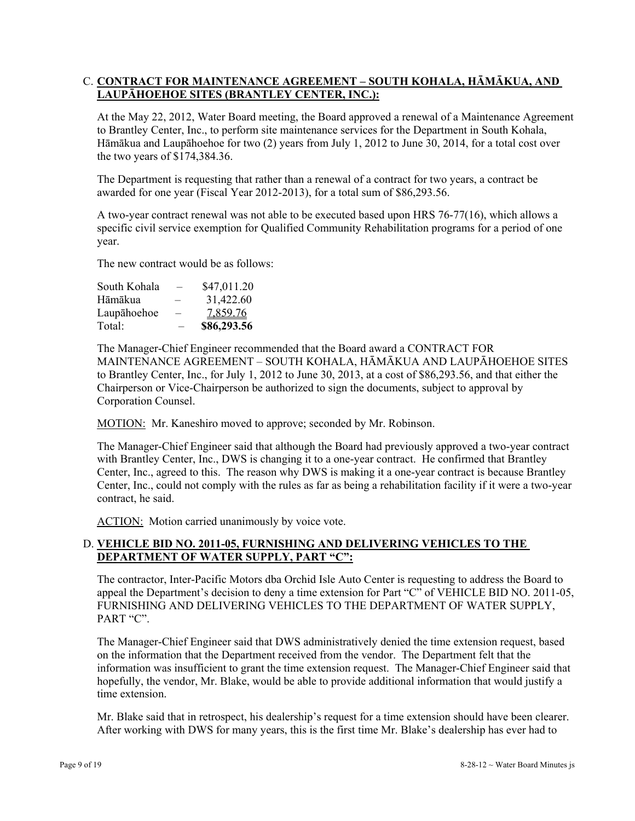## C. **CONTRACT FOR MAINTENANCE AGREEMENT – SOUTH KOHALA, HĀMĀKUA, AND LAUPĀHOEHOE SITES (BRANTLEY CENTER, INC.):**

At the May 22, 2012, Water Board meeting, the Board approved a renewal of a Maintenance Agreement to Brantley Center, Inc., to perform site maintenance services for the Department in South Kohala, Hāmākua and Laupāhoehoe for two (2) years from July 1, 2012 to June 30, 2014, for a total cost over the two years of \$174,384.36.

The Department is requesting that rather than a renewal of a contract for two years, a contract be awarded for one year (Fiscal Year 2012-2013), for a total sum of \$86,293.56.

A two-year contract renewal was not able to be executed based upon HRS 76-77(16), which allows a specific civil service exemption for Qualified Community Rehabilitation programs for a period of one year.

The new contract would be as follows:

| Total:       | -                        | \$86,293.56 |
|--------------|--------------------------|-------------|
| Laupāhoehoe  | $\overline{\phantom{0}}$ | 7,859.76    |
| Hāmākua      | —                        | 31,422.60   |
| South Kohala | $\overline{\phantom{0}}$ | \$47,011.20 |

The Manager-Chief Engineer recommended that the Board award a CONTRACT FOR MAINTENANCE AGREEMENT – SOUTH KOHALA, HĀMĀKUA AND LAUPĀHOEHOE SITES to Brantley Center, Inc., for July 1, 2012 to June 30, 2013, at a cost of \$86,293.56, and that either the Chairperson or Vice-Chairperson be authorized to sign the documents, subject to approval by Corporation Counsel.

MOTION: Mr. Kaneshiro moved to approve; seconded by Mr. Robinson.

The Manager-Chief Engineer said that although the Board had previously approved a two-year contract with Brantley Center, Inc., DWS is changing it to a one-year contract. He confirmed that Brantley Center, Inc., agreed to this. The reason why DWS is making it a one-year contract is because Brantley Center, Inc., could not comply with the rules as far as being a rehabilitation facility if it were a two-year contract, he said.

ACTION: Motion carried unanimously by voice vote.

## D. **VEHICLE BID NO. 2011-05, FURNISHING AND DELIVERING VEHICLES TO THE DEPARTMENT OF WATER SUPPLY, PART "C":**

The contractor, Inter-Pacific Motors dba Orchid Isle Auto Center is requesting to address the Board to appeal the Department's decision to deny a time extension for Part "C" of VEHICLE BID NO. 2011-05, FURNISHING AND DELIVERING VEHICLES TO THE DEPARTMENT OF WATER SUPPLY, PART "C".

The Manager-Chief Engineer said that DWS administratively denied the time extension request, based on the information that the Department received from the vendor. The Department felt that the information was insufficient to grant the time extension request. The Manager-Chief Engineer said that hopefully, the vendor, Mr. Blake, would be able to provide additional information that would justify a time extension.

Mr. Blake said that in retrospect, his dealership's request for a time extension should have been clearer. After working with DWS for many years, this is the first time Mr. Blake's dealership has ever had to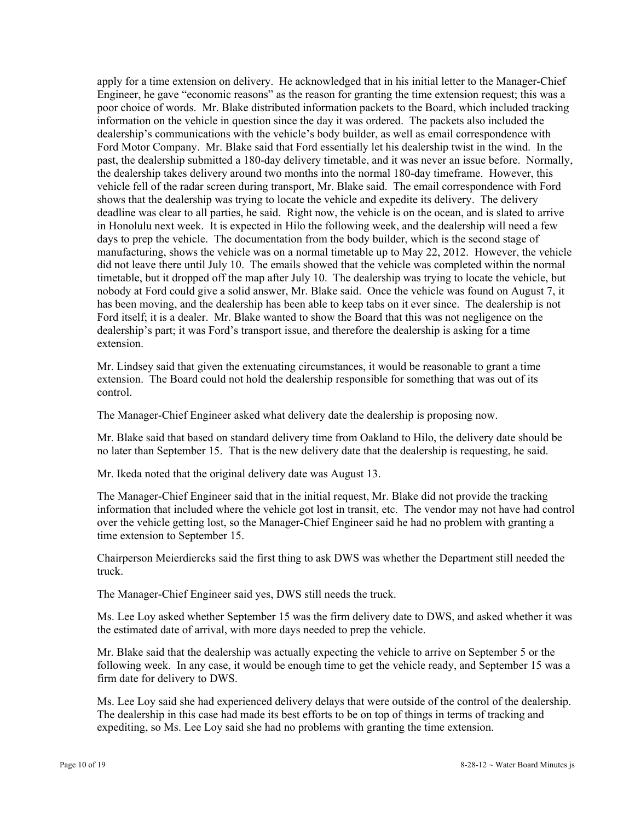apply for a time extension on delivery. He acknowledged that in his initial letter to the Manager-Chief Engineer, he gave "economic reasons" as the reason for granting the time extension request; this was a poor choice of words. Mr. Blake distributed information packets to the Board, which included tracking information on the vehicle in question since the day it was ordered. The packets also included the dealership's communications with the vehicle's body builder, as well as email correspondence with Ford Motor Company. Mr. Blake said that Ford essentially let his dealership twist in the wind. In the past, the dealership submitted a 180-day delivery timetable, and it was never an issue before. Normally, the dealership takes delivery around two months into the normal 180-day timeframe. However, this vehicle fell of the radar screen during transport, Mr. Blake said. The email correspondence with Ford shows that the dealership was trying to locate the vehicle and expedite its delivery. The delivery deadline was clear to all parties, he said. Right now, the vehicle is on the ocean, and is slated to arrive in Honolulu next week. It is expected in Hilo the following week, and the dealership will need a few days to prep the vehicle. The documentation from the body builder, which is the second stage of manufacturing, shows the vehicle was on a normal timetable up to May 22, 2012. However, the vehicle did not leave there until July 10. The emails showed that the vehicle was completed within the normal timetable, but it dropped off the map after July 10. The dealership was trying to locate the vehicle, but nobody at Ford could give a solid answer, Mr. Blake said. Once the vehicle was found on August 7, it has been moving, and the dealership has been able to keep tabs on it ever since. The dealership is not Ford itself; it is a dealer. Mr. Blake wanted to show the Board that this was not negligence on the dealership's part; it was Ford's transport issue, and therefore the dealership is asking for a time extension.

Mr. Lindsey said that given the extenuating circumstances, it would be reasonable to grant a time extension. The Board could not hold the dealership responsible for something that was out of its control.

The Manager-Chief Engineer asked what delivery date the dealership is proposing now.

Mr. Blake said that based on standard delivery time from Oakland to Hilo, the delivery date should be no later than September 15. That is the new delivery date that the dealership is requesting, he said.

Mr. Ikeda noted that the original delivery date was August 13.

The Manager-Chief Engineer said that in the initial request, Mr. Blake did not provide the tracking information that included where the vehicle got lost in transit, etc. The vendor may not have had control over the vehicle getting lost, so the Manager-Chief Engineer said he had no problem with granting a time extension to September 15.

Chairperson Meierdiercks said the first thing to ask DWS was whether the Department still needed the truck.

The Manager-Chief Engineer said yes, DWS still needs the truck.

Ms. Lee Loy asked whether September 15 was the firm delivery date to DWS, and asked whether it was the estimated date of arrival, with more days needed to prep the vehicle.

Mr. Blake said that the dealership was actually expecting the vehicle to arrive on September 5 or the following week. In any case, it would be enough time to get the vehicle ready, and September 15 was a firm date for delivery to DWS.

Ms. Lee Loy said she had experienced delivery delays that were outside of the control of the dealership. The dealership in this case had made its best efforts to be on top of things in terms of tracking and expediting, so Ms. Lee Loy said she had no problems with granting the time extension.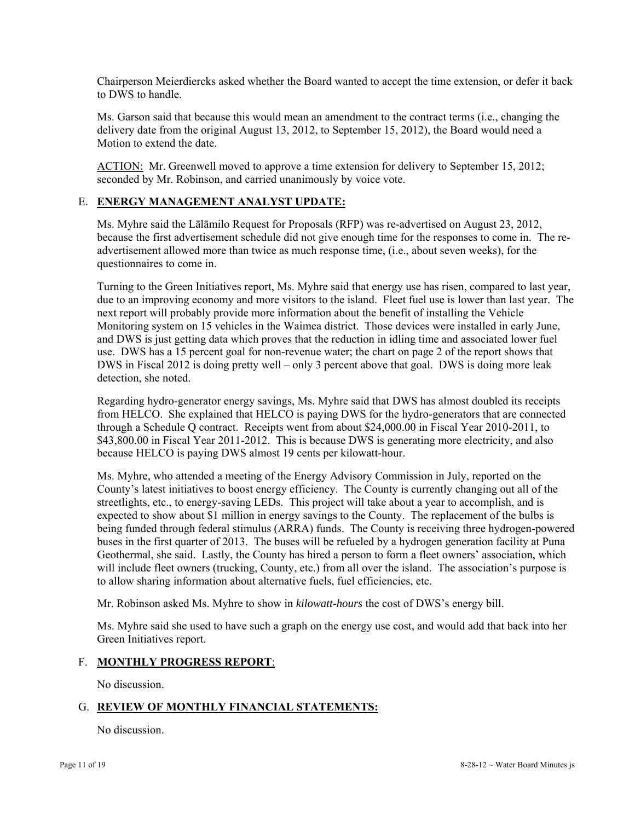Chairperson Meierdiercks asked whether the Board wanted to accept the time extension, or defer it back to DWS to handle.

Ms. Garson said that because this would mean an amendment to the contract terms (i.e., changing the delivery date from the original August 13, 2012, to September 15, 2012), the Board would need a Motion to extend the date.

ACTION: Mr. Greenwell moved to approve a time extension for delivery to September 15, 2012; seconded by Mr. Robinson, and carried unanimously by voice vote.

## E. **ENERGY MANAGEMENT ANALYST UPDATE:**

Ms. Myhre said the Lālāmilo Request for Proposals (RFP) was re-advertised on August 23, 2012, because the first advertisement schedule did not give enough time for the responses to come in. The readvertisement allowed more than twice as much response time, (i.e., about seven weeks), for the questionnaires to come in.

Turning to the Green Initiatives report, Ms. Myhre said that energy use has risen, compared to last year, due to an improving economy and more visitors to the island. Fleet fuel use is lower than last year. The next report will probably provide more information about the benefit of installing the Vehicle Monitoring system on 15 vehicles in the Waimea district. Those devices were installed in early June, and DWS is just getting data which proves that the reduction in idling time and associated lower fuel use. DWS has a 15 percent goal for non-revenue water; the chart on page 2 of the report shows that DWS in Fiscal 2012 is doing pretty well – only 3 percent above that goal. DWS is doing more leak detection, she noted.

Regarding hydro-generator energy savings, Ms. Myhre said that DWS has almost doubled its receipts from HELCO. She explained that HELCO is paying DWS for the hydro-generators that are connected through a Schedule Q contract. Receipts went from about \$24,000.00 in Fiscal Year 2010-2011, to \$43,800.00 in Fiscal Year 2011-2012. This is because DWS is generating more electricity, and also because HELCO is paying DWS almost 19 cents per kilowatt-hour.

Ms. Myhre, who attended a meeting of the Energy Advisory Commission in July, reported on the County's latest initiatives to boost energy efficiency. The County is currently changing out all of the streetlights, etc., to energy-saving LEDs. This project will take about a year to accomplish, and is expected to show about \$1 million in energy savings to the County. The replacement of the bulbs is being funded through federal stimulus (ARRA) funds. The County is receiving three hydrogen-powered buses in the first quarter of 2013. The buses will be refueled by a hydrogen generation facility at Puna Geothermal, she said. Lastly, the County has hired a person to form a fleet owners' association, which will include fleet owners (trucking, County, etc.) from all over the island. The association's purpose is to allow sharing information about alternative fuels, fuel efficiencies, etc.

Mr. Robinson asked Ms. Myhre to show in *kilowatt-hours* the cost of DWS's energy bill.

Ms. Myhre said she used to have such a graph on the energy use cost, and would add that back into her Green Initiatives report.

### F. **MONTHLY PROGRESS REPORT**:

No discussion.

# G. **REVIEW OF MONTHLY FINANCIAL STATEMENTS:**

No discussion.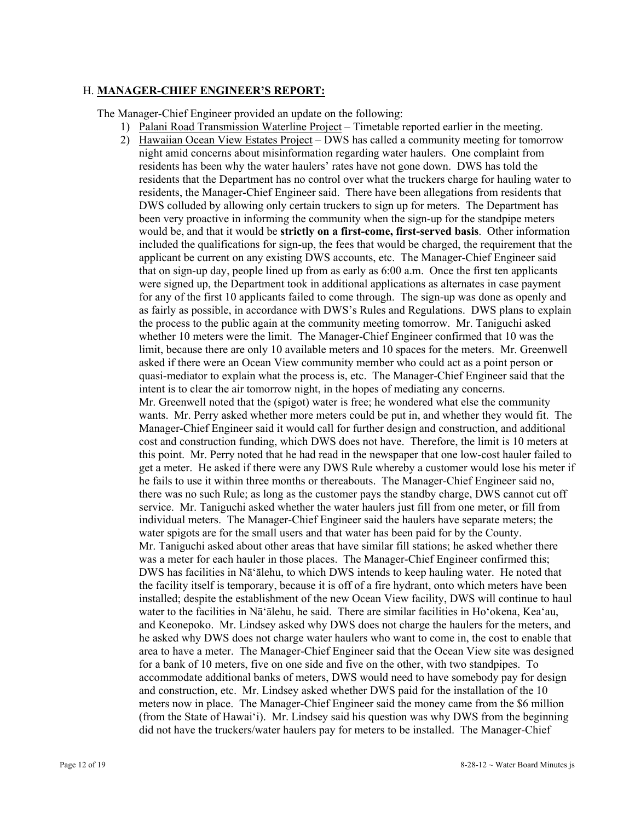### H. **MANAGER-CHIEF ENGINEER'S REPORT:**

The Manager-Chief Engineer provided an update on the following:

- 1) Palani Road Transmission Waterline Project Timetable reported earlier in the meeting.
- 2) Hawaiian Ocean View Estates Project DWS has called a community meeting for tomorrow night amid concerns about misinformation regarding water haulers. One complaint from residents has been why the water haulers' rates have not gone down. DWS has told the residents that the Department has no control over what the truckers charge for hauling water to residents, the Manager-Chief Engineer said. There have been allegations from residents that DWS colluded by allowing only certain truckers to sign up for meters. The Department has been very proactive in informing the community when the sign-up for the standpipe meters would be, and that it would be **strictly on a first-come, first-served basis**. Other information included the qualifications for sign-up, the fees that would be charged, the requirement that the applicant be current on any existing DWS accounts, etc. The Manager-Chief Engineer said that on sign-up day, people lined up from as early as 6:00 a.m. Once the first ten applicants were signed up, the Department took in additional applications as alternates in case payment for any of the first 10 applicants failed to come through. The sign-up was done as openly and as fairly as possible, in accordance with DWS's Rules and Regulations. DWS plans to explain the process to the public again at the community meeting tomorrow. Mr. Taniguchi asked whether 10 meters were the limit. The Manager-Chief Engineer confirmed that 10 was the limit, because there are only 10 available meters and 10 spaces for the meters. Mr. Greenwell asked if there were an Ocean View community member who could act as a point person or quasi-mediator to explain what the process is, etc. The Manager-Chief Engineer said that the intent is to clear the air tomorrow night, in the hopes of mediating any concerns. Mr. Greenwell noted that the (spigot) water is free; he wondered what else the community wants. Mr. Perry asked whether more meters could be put in, and whether they would fit. The Manager-Chief Engineer said it would call for further design and construction, and additional cost and construction funding, which DWS does not have. Therefore, the limit is 10 meters at this point. Mr. Perry noted that he had read in the newspaper that one low-cost hauler failed to get a meter. He asked if there were any DWS Rule whereby a customer would lose his meter if he fails to use it within three months or thereabouts. The Manager-Chief Engineer said no, there was no such Rule; as long as the customer pays the standby charge, DWS cannot cut off service. Mr. Taniguchi asked whether the water haulers just fill from one meter, or fill from individual meters. The Manager-Chief Engineer said the haulers have separate meters; the water spigots are for the small users and that water has been paid for by the County. Mr. Taniguchi asked about other areas that have similar fill stations; he asked whether there was a meter for each hauler in those places. The Manager-Chief Engineer confirmed this; DWS has facilities in Nā'ālehu, to which DWS intends to keep hauling water. He noted that the facility itself is temporary, because it is off of a fire hydrant, onto which meters have been installed; despite the establishment of the new Ocean View facility, DWS will continue to haul water to the facilities in Nā'ālehu, he said. There are similar facilities in Ho'okena, Kea'au, and Keonepoko. Mr. Lindsey asked why DWS does not charge the haulers for the meters, and he asked why DWS does not charge water haulers who want to come in, the cost to enable that area to have a meter. The Manager-Chief Engineer said that the Ocean View site was designed for a bank of 10 meters, five on one side and five on the other, with two standpipes. To accommodate additional banks of meters, DWS would need to have somebody pay for design and construction, etc. Mr. Lindsey asked whether DWS paid for the installation of the 10 meters now in place. The Manager-Chief Engineer said the money came from the \$6 million (from the State of Hawai'i). Mr. Lindsey said his question was why DWS from the beginning did not have the truckers/water haulers pay for meters to be installed. The Manager-Chief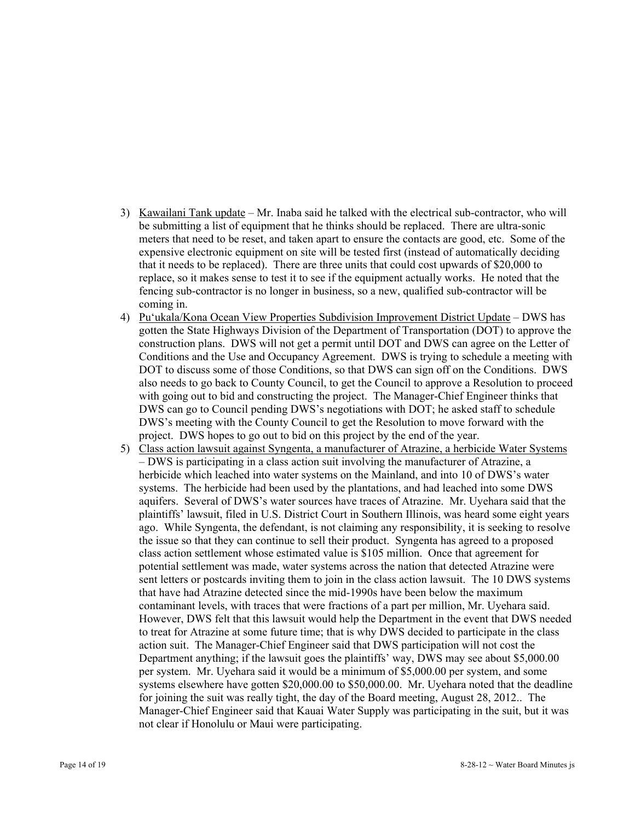- 3) Kawailani Tank update Mr. Inaba said he talked with the electrical sub-contractor, who will be submitting a list of equipment that he thinks should be replaced. There are ultra-sonic meters that need to be reset, and taken apart to ensure the contacts are good, etc. Some of the expensive electronic equipment on site will be tested first (instead of automatically deciding that it needs to be replaced). There are three units that could cost upwards of \$20,000 to replace, so it makes sense to test it to see if the equipment actually works. He noted that the fencing sub-contractor is no longer in business, so a new, qualified sub-contractor will be coming in.
- 4) Pu'ukala/Kona Ocean View Properties Subdivision Improvement District Update DWS has gotten the State Highways Division of the Department of Transportation (DOT) to approve the construction plans. DWS will not get a permit until DOT and DWS can agree on the Letter of Conditions and the Use and Occupancy Agreement. DWS is trying to schedule a meeting with DOT to discuss some of those Conditions, so that DWS can sign off on the Conditions. DWS also needs to go back to County Council, to get the Council to approve a Resolution to proceed with going out to bid and constructing the project. The Manager-Chief Engineer thinks that DWS can go to Council pending DWS's negotiations with DOT; he asked staff to schedule DWS's meeting with the County Council to get the Resolution to move forward with the project. DWS hopes to go out to bid on this project by the end of the year.
- 5) Class action lawsuit against Syngenta, a manufacturer of Atrazine, a herbicide Water Systems – DWS is participating in a class action suit involving the manufacturer of Atrazine, a herbicide which leached into water systems on the Mainland, and into 10 of DWS's water systems. The herbicide had been used by the plantations, and had leached into some DWS aquifers. Several of DWS's water sources have traces of Atrazine. Mr. Uyehara said that the plaintiffs' lawsuit, filed in U.S. District Court in Southern Illinois, was heard some eight years ago. While Syngenta, the defendant, is not claiming any responsibility, it is seeking to resolve the issue so that they can continue to sell their product. Syngenta has agreed to a proposed class action settlement whose estimated value is \$105 million. Once that agreement for potential settlement was made, water systems across the nation that detected Atrazine were sent letters or postcards inviting them to join in the class action lawsuit. The 10 DWS systems that have had Atrazine detected since the mid-1990s have been below the maximum contaminant levels, with traces that were fractions of a part per million, Mr. Uyehara said. However, DWS felt that this lawsuit would help the Department in the event that DWS needed to treat for Atrazine at some future time; that is why DWS decided to participate in the class action suit. The Manager-Chief Engineer said that DWS participation will not cost the Department anything; if the lawsuit goes the plaintiffs' way, DWS may see about \$5,000.00 per system. Mr. Uyehara said it would be a minimum of \$5,000.00 per system, and some systems elsewhere have gotten \$20,000.00 to \$50,000.00. Mr. Uyehara noted that the deadline for joining the suit was really tight, the day of the Board meeting, August 28, 2012.. The Manager-Chief Engineer said that Kauai Water Supply was participating in the suit, but it was not clear if Honolulu or Maui were participating.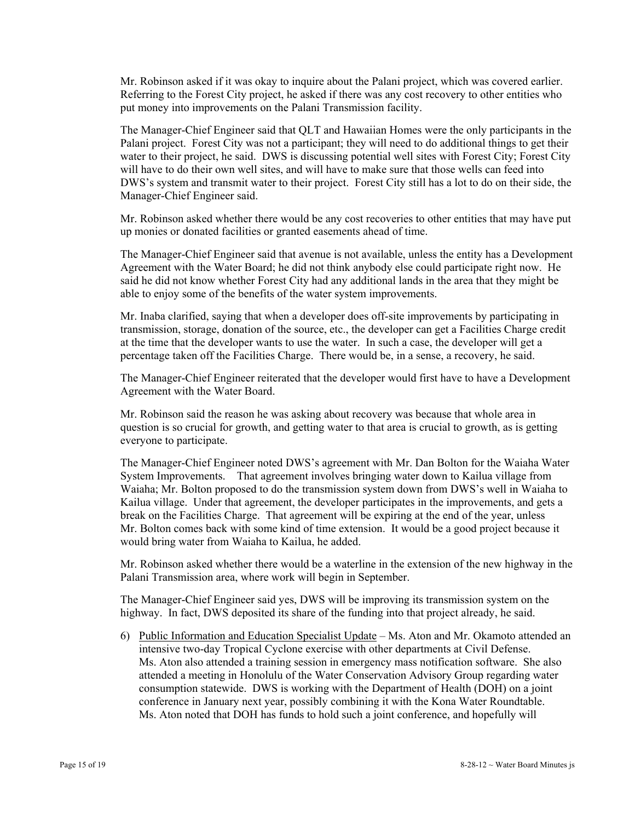Mr. Robinson asked if it was okay to inquire about the Palani project, which was covered earlier. Referring to the Forest City project, he asked if there was any cost recovery to other entities who put money into improvements on the Palani Transmission facility.

The Manager-Chief Engineer said that QLT and Hawaiian Homes were the only participants in the Palani project. Forest City was not a participant; they will need to do additional things to get their water to their project, he said. DWS is discussing potential well sites with Forest City; Forest City will have to do their own well sites, and will have to make sure that those wells can feed into DWS's system and transmit water to their project. Forest City still has a lot to do on their side, the Manager-Chief Engineer said.

Mr. Robinson asked whether there would be any cost recoveries to other entities that may have put up monies or donated facilities or granted easements ahead of time.

The Manager-Chief Engineer said that avenue is not available, unless the entity has a Development Agreement with the Water Board; he did not think anybody else could participate right now. He said he did not know whether Forest City had any additional lands in the area that they might be able to enjoy some of the benefits of the water system improvements.

Mr. Inaba clarified, saying that when a developer does off-site improvements by participating in transmission, storage, donation of the source, etc., the developer can get a Facilities Charge credit at the time that the developer wants to use the water. In such a case, the developer will get a percentage taken off the Facilities Charge. There would be, in a sense, a recovery, he said.

The Manager-Chief Engineer reiterated that the developer would first have to have a Development Agreement with the Water Board.

Mr. Robinson said the reason he was asking about recovery was because that whole area in question is so crucial for growth, and getting water to that area is crucial to growth, as is getting everyone to participate.

The Manager-Chief Engineer noted DWS's agreement with Mr. Dan Bolton for the Waiaha Water System Improvements. That agreement involves bringing water down to Kailua village from Waiaha; Mr. Bolton proposed to do the transmission system down from DWS's well in Waiaha to Kailua village. Under that agreement, the developer participates in the improvements, and gets a break on the Facilities Charge. That agreement will be expiring at the end of the year, unless Mr. Bolton comes back with some kind of time extension. It would be a good project because it would bring water from Waiaha to Kailua, he added.

Mr. Robinson asked whether there would be a waterline in the extension of the new highway in the Palani Transmission area, where work will begin in September.

The Manager-Chief Engineer said yes, DWS will be improving its transmission system on the highway. In fact, DWS deposited its share of the funding into that project already, he said.

6) Public Information and Education Specialist Update – Ms. Aton and Mr. Okamoto attended an intensive two-day Tropical Cyclone exercise with other departments at Civil Defense. Ms. Aton also attended a training session in emergency mass notification software. She also attended a meeting in Honolulu of the Water Conservation Advisory Group regarding water consumption statewide. DWS is working with the Department of Health (DOH) on a joint conference in January next year, possibly combining it with the Kona Water Roundtable. Ms. Aton noted that DOH has funds to hold such a joint conference, and hopefully will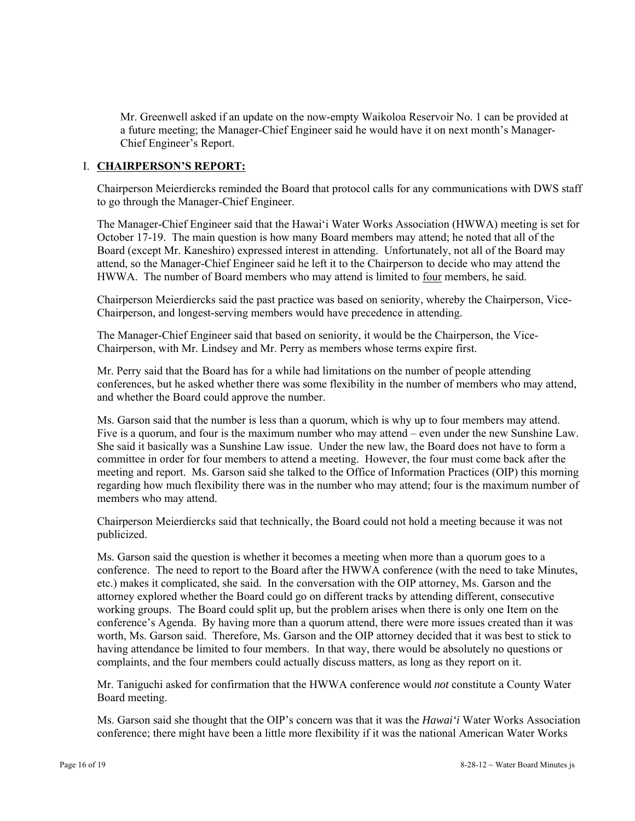Mr. Greenwell asked if an update on the now-empty Waikoloa Reservoir No. 1 can be provided at a future meeting; the Manager-Chief Engineer said he would have it on next month's Manager-Chief Engineer's Report.

## I. **CHAIRPERSON'S REPORT:**

Chairperson Meierdiercks reminded the Board that protocol calls for any communications with DWS staff to go through the Manager-Chief Engineer.

The Manager-Chief Engineer said that the Hawai'i Water Works Association (HWWA) meeting is set for October 17-19. The main question is how many Board members may attend; he noted that all of the Board (except Mr. Kaneshiro) expressed interest in attending. Unfortunately, not all of the Board may attend, so the Manager-Chief Engineer said he left it to the Chairperson to decide who may attend the HWWA. The number of Board members who may attend is limited to four members, he said.

Chairperson Meierdiercks said the past practice was based on seniority, whereby the Chairperson, Vice-Chairperson, and longest-serving members would have precedence in attending.

The Manager-Chief Engineer said that based on seniority, it would be the Chairperson, the Vice-Chairperson, with Mr. Lindsey and Mr. Perry as members whose terms expire first.

Mr. Perry said that the Board has for a while had limitations on the number of people attending conferences, but he asked whether there was some flexibility in the number of members who may attend, and whether the Board could approve the number.

Ms. Garson said that the number is less than a quorum, which is why up to four members may attend. Five is a quorum, and four is the maximum number who may attend – even under the new Sunshine Law. She said it basically was a Sunshine Law issue. Under the new law, the Board does not have to form a committee in order for four members to attend a meeting. However, the four must come back after the meeting and report. Ms. Garson said she talked to the Office of Information Practices (OIP) this morning regarding how much flexibility there was in the number who may attend; four is the maximum number of members who may attend.

Chairperson Meierdiercks said that technically, the Board could not hold a meeting because it was not publicized.

Ms. Garson said the question is whether it becomes a meeting when more than a quorum goes to a conference. The need to report to the Board after the HWWA conference (with the need to take Minutes, etc.) makes it complicated, she said. In the conversation with the OIP attorney, Ms. Garson and the attorney explored whether the Board could go on different tracks by attending different, consecutive working groups. The Board could split up, but the problem arises when there is only one Item on the conference's Agenda. By having more than a quorum attend, there were more issues created than it was worth, Ms. Garson said. Therefore, Ms. Garson and the OIP attorney decided that it was best to stick to having attendance be limited to four members. In that way, there would be absolutely no questions or complaints, and the four members could actually discuss matters, as long as they report on it.

Mr. Taniguchi asked for confirmation that the HWWA conference would *not* constitute a County Water Board meeting.

Ms. Garson said she thought that the OIP's concern was that it was the *Hawai'i* Water Works Association conference; there might have been a little more flexibility if it was the national American Water Works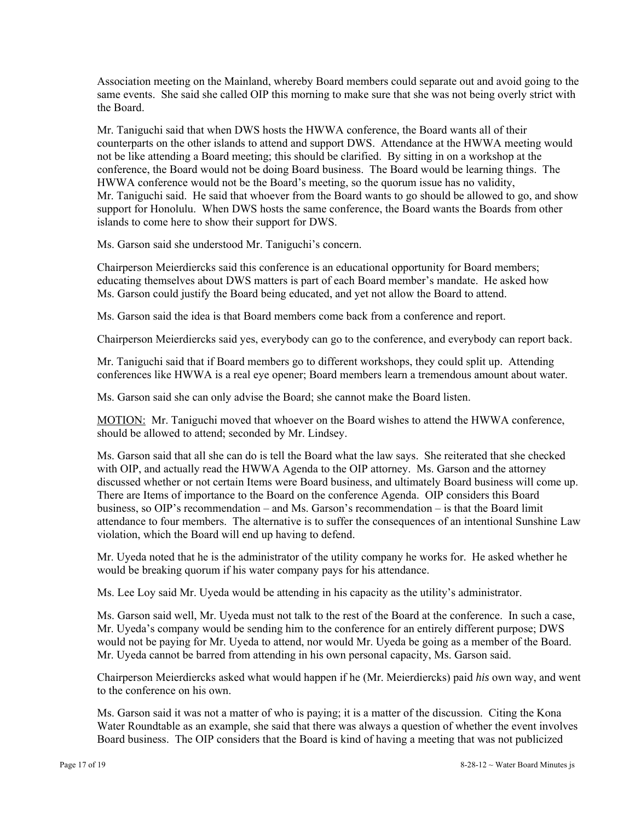Association meeting on the Mainland, whereby Board members could separate out and avoid going to the same events. She said she called OIP this morning to make sure that she was not being overly strict with the Board.

Mr. Taniguchi said that when DWS hosts the HWWA conference, the Board wants all of their counterparts on the other islands to attend and support DWS. Attendance at the HWWA meeting would not be like attending a Board meeting; this should be clarified. By sitting in on a workshop at the conference, the Board would not be doing Board business. The Board would be learning things. The HWWA conference would not be the Board's meeting, so the quorum issue has no validity, Mr. Taniguchi said. He said that whoever from the Board wants to go should be allowed to go, and show support for Honolulu. When DWS hosts the same conference, the Board wants the Boards from other islands to come here to show their support for DWS.

Ms. Garson said she understood Mr. Taniguchi's concern.

Chairperson Meierdiercks said this conference is an educational opportunity for Board members; educating themselves about DWS matters is part of each Board member's mandate. He asked how Ms. Garson could justify the Board being educated, and yet not allow the Board to attend.

Ms. Garson said the idea is that Board members come back from a conference and report.

Chairperson Meierdiercks said yes, everybody can go to the conference, and everybody can report back.

Mr. Taniguchi said that if Board members go to different workshops, they could split up. Attending conferences like HWWA is a real eye opener; Board members learn a tremendous amount about water.

Ms. Garson said she can only advise the Board; she cannot make the Board listen.

MOTION: Mr. Taniguchi moved that whoever on the Board wishes to attend the HWWA conference, should be allowed to attend; seconded by Mr. Lindsey.

Ms. Garson said that all she can do is tell the Board what the law says. She reiterated that she checked with OIP, and actually read the HWWA Agenda to the OIP attorney. Ms. Garson and the attorney discussed whether or not certain Items were Board business, and ultimately Board business will come up. There are Items of importance to the Board on the conference Agenda. OIP considers this Board business, so OIP's recommendation – and Ms. Garson's recommendation – is that the Board limit attendance to four members. The alternative is to suffer the consequences of an intentional Sunshine Law violation, which the Board will end up having to defend.

Mr. Uyeda noted that he is the administrator of the utility company he works for. He asked whether he would be breaking quorum if his water company pays for his attendance.

Ms. Lee Loy said Mr. Uyeda would be attending in his capacity as the utility's administrator.

Ms. Garson said well, Mr. Uyeda must not talk to the rest of the Board at the conference. In such a case, Mr. Uyeda's company would be sending him to the conference for an entirely different purpose; DWS would not be paying for Mr. Uyeda to attend, nor would Mr. Uyeda be going as a member of the Board. Mr. Uyeda cannot be barred from attending in his own personal capacity, Ms. Garson said.

Chairperson Meierdiercks asked what would happen if he (Mr. Meierdiercks) paid *his* own way, and went to the conference on his own.

Ms. Garson said it was not a matter of who is paying; it is a matter of the discussion. Citing the Kona Water Roundtable as an example, she said that there was always a question of whether the event involves Board business. The OIP considers that the Board is kind of having a meeting that was not publicized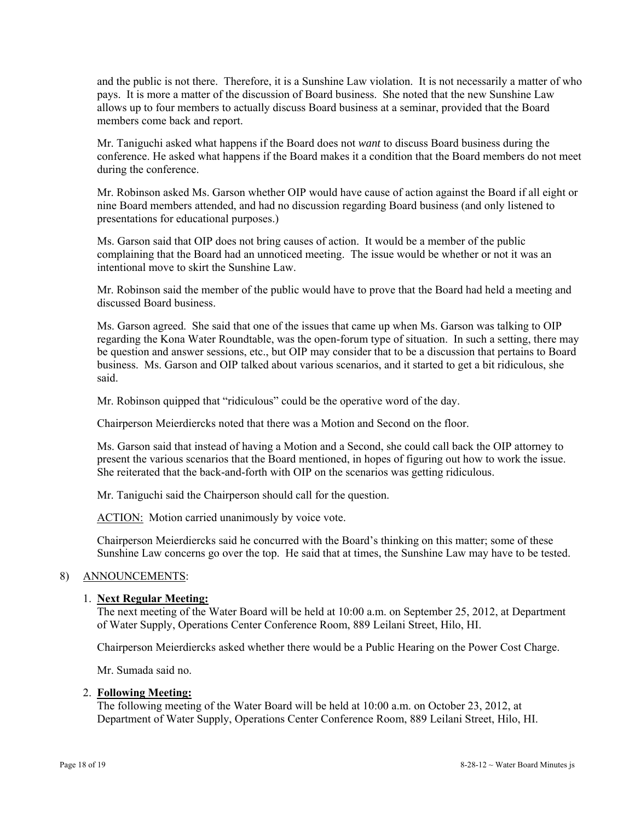and the public is not there. Therefore, it is a Sunshine Law violation. It is not necessarily a matter of who pays. It is more a matter of the discussion of Board business. She noted that the new Sunshine Law allows up to four members to actually discuss Board business at a seminar, provided that the Board members come back and report.

Mr. Taniguchi asked what happens if the Board does not *want* to discuss Board business during the conference. He asked what happens if the Board makes it a condition that the Board members do not meet during the conference.

Mr. Robinson asked Ms. Garson whether OIP would have cause of action against the Board if all eight or nine Board members attended, and had no discussion regarding Board business (and only listened to presentations for educational purposes.)

Ms. Garson said that OIP does not bring causes of action. It would be a member of the public complaining that the Board had an unnoticed meeting. The issue would be whether or not it was an intentional move to skirt the Sunshine Law.

Mr. Robinson said the member of the public would have to prove that the Board had held a meeting and discussed Board business.

Ms. Garson agreed. She said that one of the issues that came up when Ms. Garson was talking to OIP regarding the Kona Water Roundtable, was the open-forum type of situation. In such a setting, there may be question and answer sessions, etc., but OIP may consider that to be a discussion that pertains to Board business. Ms. Garson and OIP talked about various scenarios, and it started to get a bit ridiculous, she said.

Mr. Robinson quipped that "ridiculous" could be the operative word of the day.

Chairperson Meierdiercks noted that there was a Motion and Second on the floor.

Ms. Garson said that instead of having a Motion and a Second, she could call back the OIP attorney to present the various scenarios that the Board mentioned, in hopes of figuring out how to work the issue. She reiterated that the back-and-forth with OIP on the scenarios was getting ridiculous.

Mr. Taniguchi said the Chairperson should call for the question.

ACTION: Motion carried unanimously by voice vote.

Chairperson Meierdiercks said he concurred with the Board's thinking on this matter; some of these Sunshine Law concerns go over the top. He said that at times, the Sunshine Law may have to be tested.

### 8) ANNOUNCEMENTS:

### 1. **Next Regular Meeting:**

The next meeting of the Water Board will be held at 10:00 a.m. on September 25, 2012, at Department of Water Supply, Operations Center Conference Room, 889 Leilani Street, Hilo, HI.

Chairperson Meierdiercks asked whether there would be a Public Hearing on the Power Cost Charge.

Mr. Sumada said no.

#### 2. **Following Meeting:**

The following meeting of the Water Board will be held at 10:00 a.m. on October 23, 2012, at Department of Water Supply, Operations Center Conference Room, 889 Leilani Street, Hilo, HI.